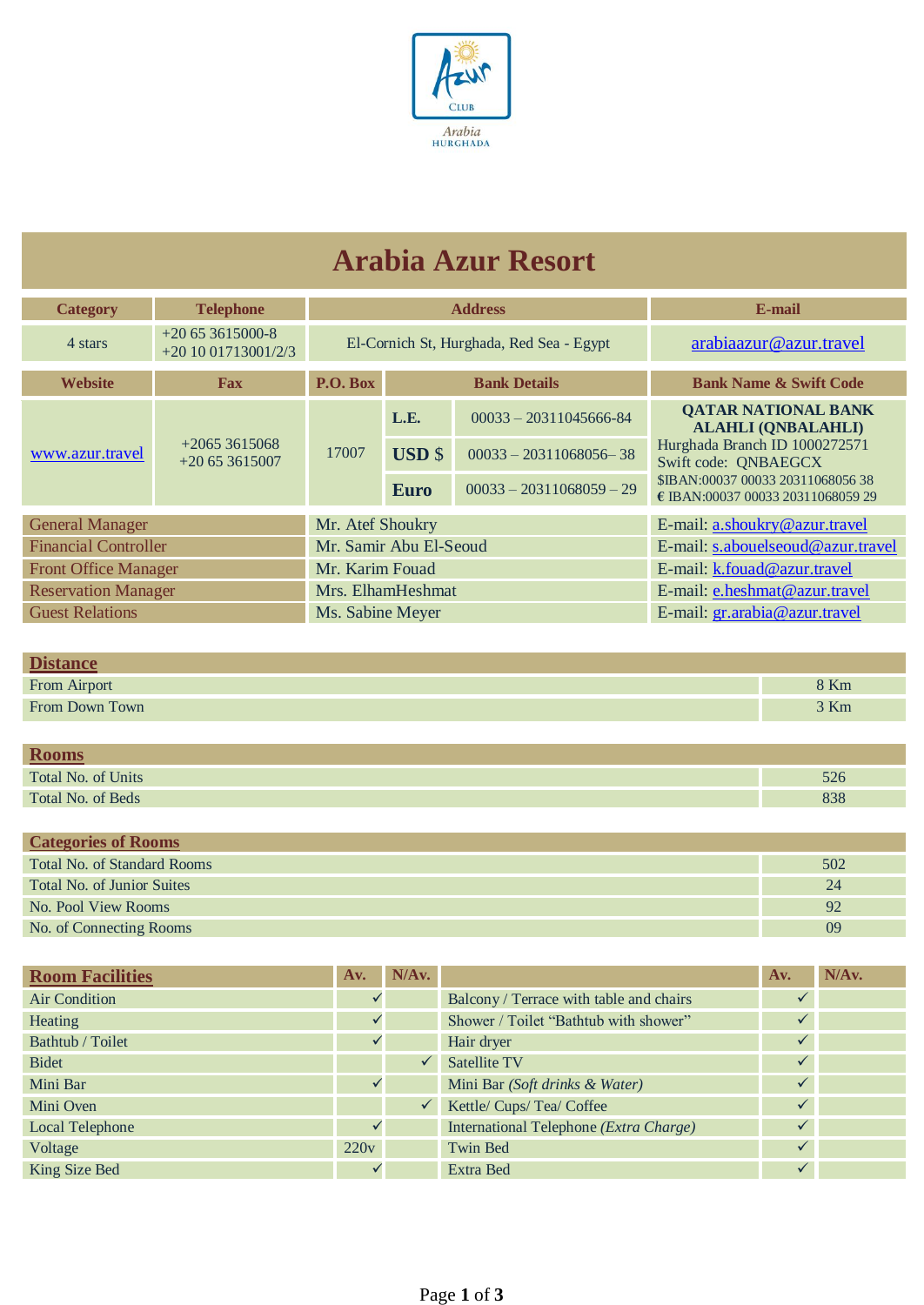

## **Arabia Azur Resort**

| <b>Category</b>             | <b>Telephone</b>                        |                        |               | <b>Address</b>                           | E-mail                                                                 |  |  |
|-----------------------------|-----------------------------------------|------------------------|---------------|------------------------------------------|------------------------------------------------------------------------|--|--|
| 4 stars                     | $+20653615000-8$<br>$+201001713001/2/3$ |                        |               | El-Cornich St, Hurghada, Red Sea - Egypt | arabiaazur@azur.travel                                                 |  |  |
| <b>Website</b>              | <b>Fax</b>                              | P.O. Box               |               | <b>Bank Details</b>                      | <b>Bank Name &amp; Swift Code</b>                                      |  |  |
| www.azur.travel             | $+20653615068$<br>$+20653615007$        | 17007                  | L.E.          | $00033 - 20311045666 - 84$               | <b>QATAR NATIONAL BANK</b><br><b>ALAHLI (ONBALAHLI)</b>                |  |  |
|                             |                                         |                        | <b>USD</b> \$ | $00033 - 20311068056 - 38$               | Hurghada Branch ID 1000272571<br>Swift code: QNBAEGCX                  |  |  |
|                             |                                         |                        | <b>Euro</b>   | $00033 - 20311068059 - 29$               | \$IBAN:00037 00033 20311068056 38<br>€ IBAN:00037 00033 20311068059 29 |  |  |
| <b>General Manager</b>      |                                         | Mr. Atef Shoukry       |               |                                          | E-mail: a.shoukry@azur.travel                                          |  |  |
| <b>Financial Controller</b> |                                         | Mr. Samir Abu El-Seoud |               |                                          | E-mail: s.abouelseoud@azur.travel                                      |  |  |
| <b>Front Office Manager</b> | Mr. Karim Fouad                         |                        |               | E-mail: k.fouad@azur.travel              |                                                                        |  |  |
| <b>Reservation Manager</b>  | Mrs. ElhamHeshmat                       |                        |               | E-mail: e.heshmat@azur.travel            |                                                                        |  |  |
| <b>Guest Relations</b>      | Ms. Sabine Meyer                        |                        |               | E-mail: gr.arabia@azur.travel            |                                                                        |  |  |

| n:                  |        |
|---------------------|--------|
| <b>From Airport</b> | $8$ Km |
| From Down Town      | 3 Km   |

| <b>Rooms</b>       |     |
|--------------------|-----|
| Total No. of Units | 526 |
| Total No. of Beds  | 838 |

| <b>Categories of Rooms</b>  |     |
|-----------------------------|-----|
| Total No. of Standard Rooms | 502 |
| Total No. of Junior Suites  | 24  |
| No. Pool View Rooms         | 92  |
| No. of Connecting Rooms     | 09  |

| <b>Room Facilities</b> | Av.  | N/Av.        |                                         | Av.          | N/Av. |
|------------------------|------|--------------|-----------------------------------------|--------------|-------|
| Air Condition          |      |              | Balcony / Terrace with table and chairs |              |       |
| Heating                |      |              | Shower / Toilet "Bathtub with shower"   | $\checkmark$ |       |
| Bathtub / Toilet       |      |              | Hair dryer                              | $\checkmark$ |       |
| <b>Bidet</b>           |      |              | <b>Satellite TV</b>                     | $\sqrt{}$    |       |
| Mini Bar               |      |              | Mini Bar (Soft drinks & Water)          | $\sqrt{}$    |       |
| Mini Oven              |      | $\checkmark$ | Kettle/ Cups/ Tea/ Coffee               | $\checkmark$ |       |
| Local Telephone        |      |              | International Telephone (Extra Charge)  |              |       |
| Voltage                | 220v |              | <b>Twin Bed</b>                         | $\sqrt{}$    |       |
| King Size Bed          |      |              | Extra Bed                               | $\checkmark$ |       |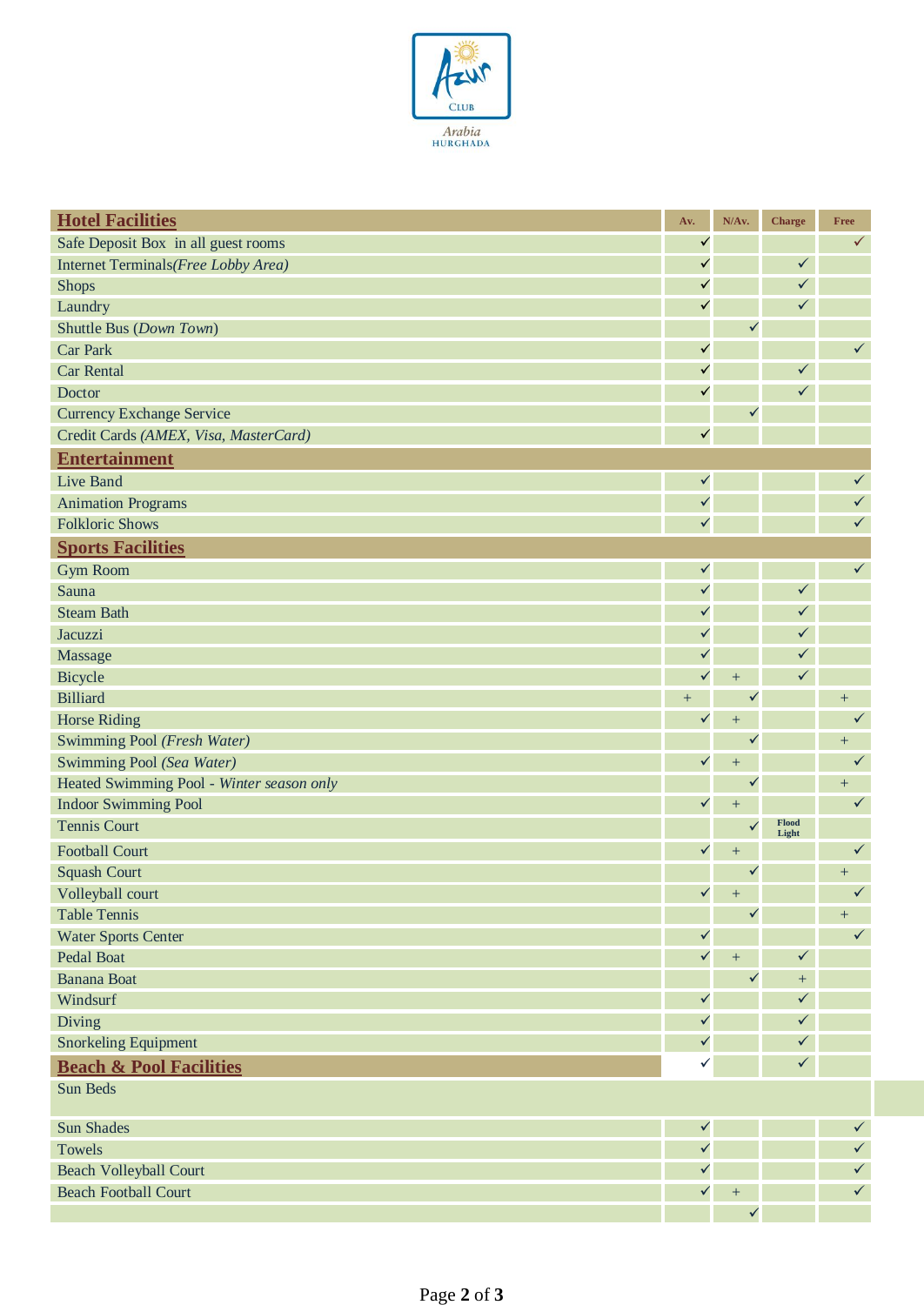

| <b>Hotel Facilities</b>                   | Av.          | N/Av.            | <b>Charge</b>  | Free         |
|-------------------------------------------|--------------|------------------|----------------|--------------|
| Safe Deposit Box in all guest rooms       | $\checkmark$ |                  |                | ✓            |
| Internet Terminals(Free Lobby Area)       | $\checkmark$ |                  | $\checkmark$   |              |
| <b>Shops</b>                              | $\checkmark$ |                  | $\checkmark$   |              |
| Laundry                                   | $\checkmark$ |                  | $\checkmark$   |              |
| Shuttle Bus (Down Town)                   |              | $\checkmark$     |                |              |
| <b>Car Park</b>                           | $\checkmark$ |                  |                | $\checkmark$ |
| <b>Car Rental</b>                         | $\checkmark$ |                  | $\checkmark$   |              |
| Doctor                                    | $\checkmark$ |                  | $\checkmark$   |              |
| <b>Currency Exchange Service</b>          |              | $\checkmark$     |                |              |
| Credit Cards (AMEX, Visa, MasterCard)     | $\checkmark$ |                  |                |              |
| <b>Entertainment</b>                      |              |                  |                |              |
| Live Band                                 | $\checkmark$ |                  |                | $\checkmark$ |
| <b>Animation Programs</b>                 | $\checkmark$ |                  |                | $\checkmark$ |
| <b>Folkloric Shows</b>                    | $\checkmark$ |                  |                | ✓            |
| <b>Sports Facilities</b>                  |              |                  |                |              |
| <b>Gym Room</b>                           | $\checkmark$ |                  |                | $\checkmark$ |
| Sauna                                     | $\checkmark$ |                  | $\checkmark$   |              |
| <b>Steam Bath</b>                         | $\checkmark$ |                  | $\checkmark$   |              |
| Jacuzzi                                   | $\checkmark$ |                  | $\checkmark$   |              |
| Massage                                   | $\checkmark$ |                  | $\checkmark$   |              |
| Bicycle                                   | $\checkmark$ | $+$              | $\checkmark$   |              |
| <b>Billiard</b>                           | $+$          | $\checkmark$     |                | $+$          |
| Horse Riding                              | $\checkmark$ | $\ddot{}$        |                | ✓            |
| Swimming Pool (Fresh Water)               |              | $\checkmark$     |                | $+$          |
| Swimming Pool (Sea Water)                 | $\checkmark$ | $\! + \!$        |                | $\checkmark$ |
| Heated Swimming Pool - Winter season only |              | $\checkmark$     |                | $+$          |
| <b>Indoor Swimming Pool</b>               | $\checkmark$ | $^{+}$           |                | ✓            |
| <b>Tennis Court</b>                       |              | $\checkmark$     | Flood<br>Light |              |
| <b>Football Court</b>                     | $\checkmark$ | $^{+}$           |                | $\checkmark$ |
| <b>Squash Court</b>                       |              | ✓                |                | $^{+}$       |
| Volleyball court                          | $\checkmark$ | $^{+}$           |                | ✓            |
| <b>Table Tennis</b>                       |              | $\checkmark$     |                | $\pm$        |
| <b>Water Sports Center</b>                | $\checkmark$ |                  |                | $\checkmark$ |
| Pedal Boat                                | $\checkmark$ | $\boldsymbol{+}$ | $\checkmark$   |              |
| <b>Banana Boat</b>                        |              | $\checkmark$     | $\pm$          |              |
| Windsurf                                  | $\checkmark$ |                  | $\checkmark$   |              |
| Diving                                    | $\checkmark$ |                  | $\checkmark$   |              |
| <b>Snorkeling Equipment</b>               | $\checkmark$ |                  | $\checkmark$   |              |
| <b>Beach &amp; Pool Facilities</b>        | $\checkmark$ |                  | $\checkmark$   |              |
| Sun Beds                                  |              |                  |                |              |
| <b>Sun Shades</b>                         | $\checkmark$ |                  |                | $\checkmark$ |
| Towels                                    | $\checkmark$ |                  |                | $\checkmark$ |
| <b>Beach Volleyball Court</b>             | $\checkmark$ |                  |                | $\checkmark$ |
| <b>Beach Football Court</b>               | $\checkmark$ | $\pm$            |                | $\checkmark$ |
|                                           |              | $\checkmark$     |                |              |